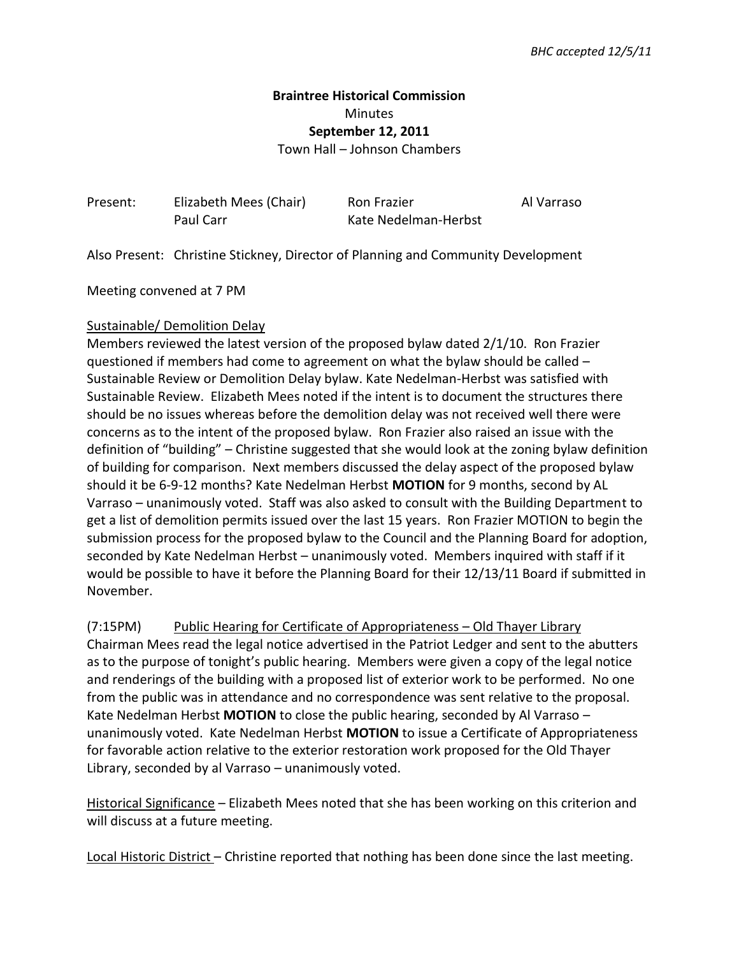## **Braintree Historical Commission**  Minutes **September 12, 2011**

Town Hall – Johnson Chambers

| Present: | Elizabeth Mees (Chair) | Ron Frazier          | Al Varraso |
|----------|------------------------|----------------------|------------|
|          | Paul Carr              | Kate Nedelman-Herbst |            |

Also Present: Christine Stickney, Director of Planning and Community Development

Meeting convened at 7 PM

## Sustainable/ Demolition Delay

Members reviewed the latest version of the proposed bylaw dated 2/1/10. Ron Frazier questioned if members had come to agreement on what the bylaw should be called – Sustainable Review or Demolition Delay bylaw. Kate Nedelman-Herbst was satisfied with Sustainable Review. Elizabeth Mees noted if the intent is to document the structures there should be no issues whereas before the demolition delay was not received well there were concerns as to the intent of the proposed bylaw. Ron Frazier also raised an issue with the definition of "building" – Christine suggested that she would look at the zoning bylaw definition of building for comparison. Next members discussed the delay aspect of the proposed bylaw should it be 6-9-12 months? Kate Nedelman Herbst **MOTION** for 9 months, second by AL Varraso – unanimously voted. Staff was also asked to consult with the Building Department to get a list of demolition permits issued over the last 15 years. Ron Frazier MOTION to begin the submission process for the proposed bylaw to the Council and the Planning Board for adoption, seconded by Kate Nedelman Herbst – unanimously voted. Members inquired with staff if it would be possible to have it before the Planning Board for their 12/13/11 Board if submitted in November.

(7:15PM) Public Hearing for Certificate of Appropriateness – Old Thayer Library Chairman Mees read the legal notice advertised in the Patriot Ledger and sent to the abutters as to the purpose of tonight's public hearing. Members were given a copy of the legal notice

and renderings of the building with a proposed list of exterior work to be performed. No one from the public was in attendance and no correspondence was sent relative to the proposal. Kate Nedelman Herbst **MOTION** to close the public hearing, seconded by Al Varraso – unanimously voted. Kate Nedelman Herbst **MOTION** to issue a Certificate of Appropriateness for favorable action relative to the exterior restoration work proposed for the Old Thayer Library, seconded by al Varraso – unanimously voted.

Historical Significance – Elizabeth Mees noted that she has been working on this criterion and will discuss at a future meeting.

Local Historic District – Christine reported that nothing has been done since the last meeting.